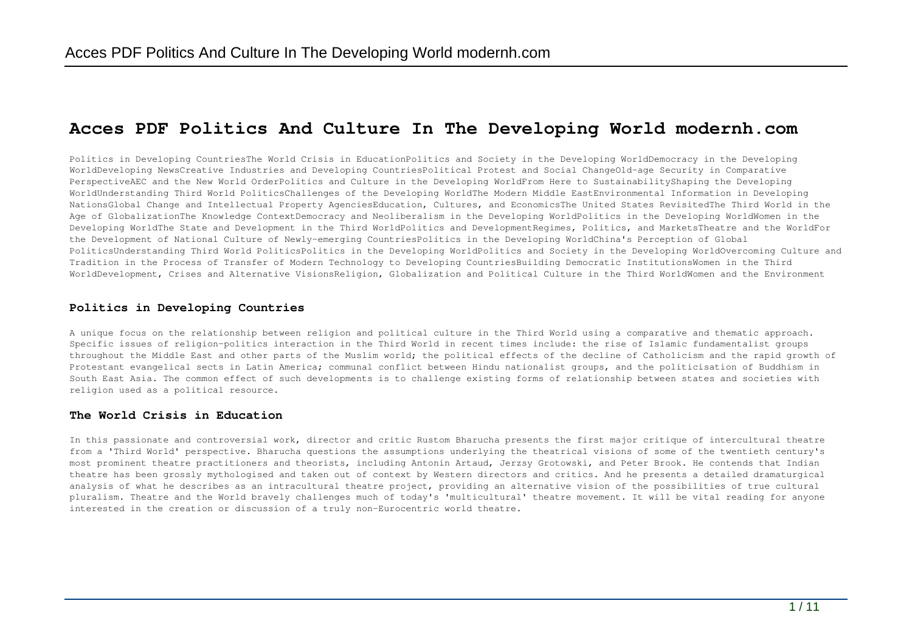# **Acces PDF Politics And Culture In The Developing World modernh.com**

Politics in Developing CountriesThe World Crisis in EducationPolitics and Society in the Developing WorldDemocracy in the Developing WorldDeveloping NewsCreative Industries and Developing CountriesPolitical Protest and Social ChangeOld-age Security in Comparative PerspectiveAEC and the New World OrderPolitics and Culture in the Developing WorldFrom Here to SustainabilityShaping the Developing WorldUnderstanding Third World PoliticsChallenges of the Developing WorldThe Modern Middle EastEnvironmental Information in Developing NationsGlobal Change and Intellectual Property AgenciesEducation, Cultures, and EconomicsThe United States RevisitedThe Third World in the Age of GlobalizationThe Knowledge ContextDemocracy and Neoliberalism in the Developing WorldPolitics in the Developing WorldWomen in the Developing WorldThe State and Development in the Third WorldPolitics and DevelopmentRegimes, Politics, and MarketsTheatre and the WorldFor the Development of National Culture of Newly-emerging CountriesPolitics in the Developing WorldChina's Perception of Global PoliticsUnderstanding Third World PoliticsPolitics in the Developing WorldPolitics and Society in the Developing WorldOvercoming Culture and Tradition in the Process of Transfer of Modern Technology to Developing CountriesBuilding Democratic InstitutionsWomen in the Third WorldDevelopment, Crises and Alternative VisionsReligion, Globalization and Political Culture in the Third WorldWomen and the Environment

# **Politics in Developing Countries**

A unique focus on the relationship between religion and political culture in the Third World using a comparative and thematic approach. Specific issues of religion-politics interaction in the Third World in recent times include: the rise of Islamic fundamentalist groups throughout the Middle East and other parts of the Muslim world; the political effects of the decline of Catholicism and the rapid growth of Protestant evangelical sects in Latin America; communal conflict between Hindu nationalist groups, and the politicisation of Buddhism in South East Asia. The common effect of such developments is to challenge existing forms of relationship between states and societies with religion used as a political resource.

# **The World Crisis in Education**

In this passionate and controversial work, director and critic Rustom Bharucha presents the first major critique of intercultural theatre from a 'Third World' perspective. Bharucha questions the assumptions underlying the theatrical visions of some of the twentieth century's most prominent theatre practitioners and theorists, including Antonin Artaud, Jerzsy Grotowski, and Peter Brook. He contends that Indian theatre has been grossly mythologised and taken out of context by Western directors and critics. And he presents a detailed dramaturgical analysis of what he describes as an intracultural theatre project, providing an alternative vision of the possibilities of true cultural pluralism. Theatre and the World bravely challenges much of today's 'multicultural' theatre movement. It will be vital reading for anyone interested in the creation or discussion of a truly non-Eurocentric world theatre.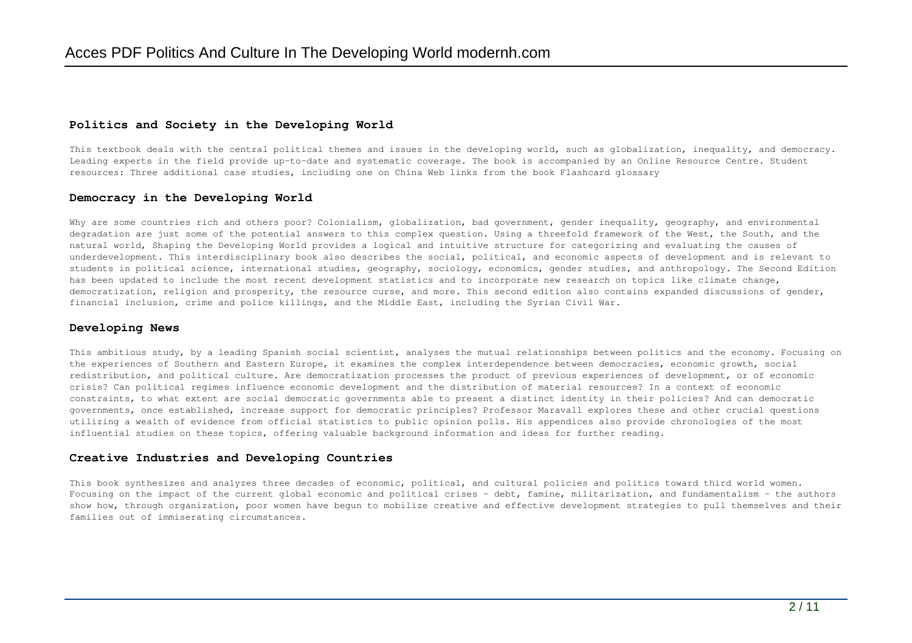## **Politics and Society in the Developing World**

This textbook deals with the central political themes and issues in the developing world, such as globalization, inequality, and democracy. Leading experts in the field provide up-to-date and systematic coverage. The book is accompanied by an Online Resource Centre. Student resources: Three additional case studies, including one on China Web links from the book Flashcard glossary

# **Democracy in the Developing World**

Why are some countries rich and others poor? Colonialism, globalization, bad government, gender inequality, geography, and environmental degradation are just some of the potential answers to this complex question. Using a threefold framework of the West, the South, and the natural world, Shaping the Developing World provides a logical and intuitive structure for categorizing and evaluating the causes of underdevelopment. This interdisciplinary book also describes the social, political, and economic aspects of development and is relevant to students in political science, international studies, geography, sociology, economics, gender studies, and anthropology. The Second Edition has been updated to include the most recent development statistics and to incorporate new research on topics like climate change, democratization, religion and prosperity, the resource curse, and more. This second edition also contains expanded discussions of gender, financial inclusion, crime and police killings, and the Middle East, including the Syrian Civil War.

## **Developing News**

This ambitious study, by a leading Spanish social scientist, analyses the mutual relationships between politics and the economy. Focusing on the experiences of Southern and Eastern Europe, it examines the complex interdependence between democracies, economic growth, social redistribution, and political culture. Are democratization processes the product of previous experiences of development, or of economic crisis? Can political regimes influence economic development and the distribution of material resources? In a context of economic constraints, to what extent are social democratic governments able to present a distinct identity in their policies? And can democratic governments, once established, increase support for democratic principles? Professor Maravall explores these and other crucial questions utilizing a wealth of evidence from official statistics to public opinion polls. His appendices also provide chronologies of the most influential studies on these topics, offering valuable background information and ideas for further reading.

## **Creative Industries and Developing Countries**

This book synthesizes and analyzes three decades of economic, political, and cultural policies and politics toward third world women. Focusing on the impact of the current global economic and political crises - debt, famine, militarization, and fundamentalism - the authors show how, through organization, poor women have begun to mobilize creative and effective development strategies to pull themselves and their families out of immiserating circumstances.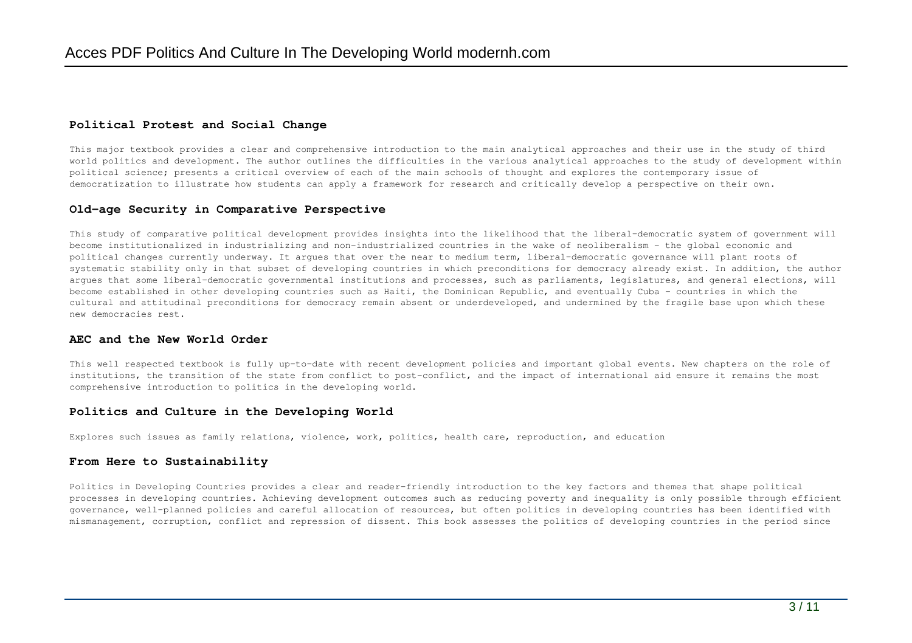# **Political Protest and Social Change**

This major textbook provides a clear and comprehensive introduction to the main analytical approaches and their use in the study of third world politics and development. The author outlines the difficulties in the various analytical approaches to the study of development within political science; presents a critical overview of each of the main schools of thought and explores the contemporary issue of democratization to illustrate how students can apply a framework for research and critically develop a perspective on their own.

### **Old-age Security in Comparative Perspective**

This study of comparative political development provides insights into the likelihood that the liberal-democratic system of government will become institutionalized in industrializing and non-industrialized countries in the wake of neoliberalism - the global economic and political changes currently underway. It argues that over the near to medium term, liberal-democratic governance will plant roots of systematic stability only in that subset of developing countries in which preconditions for democracy already exist. In addition, the author argues that some liberal-democratic governmental institutions and processes, such as parliaments, legislatures, and general elections, will become established in other developing countries such as Haiti, the Dominican Republic, and eventually Cuba - countries in which the cultural and attitudinal preconditions for democracy remain absent or underdeveloped, and undermined by the fragile base upon which these new democracies rest.

### **AEC and the New World Order**

This well respected textbook is fully up-to-date with recent development policies and important global events. New chapters on the role of institutions, the transition of the state from conflict to post-conflict, and the impact of international aid ensure it remains the most comprehensive introduction to politics in the developing world.

### **Politics and Culture in the Developing World**

Explores such issues as family relations, violence, work, politics, health care, reproduction, and education

### **From Here to Sustainability**

Politics in Developing Countries provides a clear and reader-friendly introduction to the key factors and themes that shape political processes in developing countries. Achieving development outcomes such as reducing poverty and inequality is only possible through efficient governance, well-planned policies and careful allocation of resources, but often politics in developing countries has been identified with mismanagement, corruption, conflict and repression of dissent. This book assesses the politics of developing countries in the period since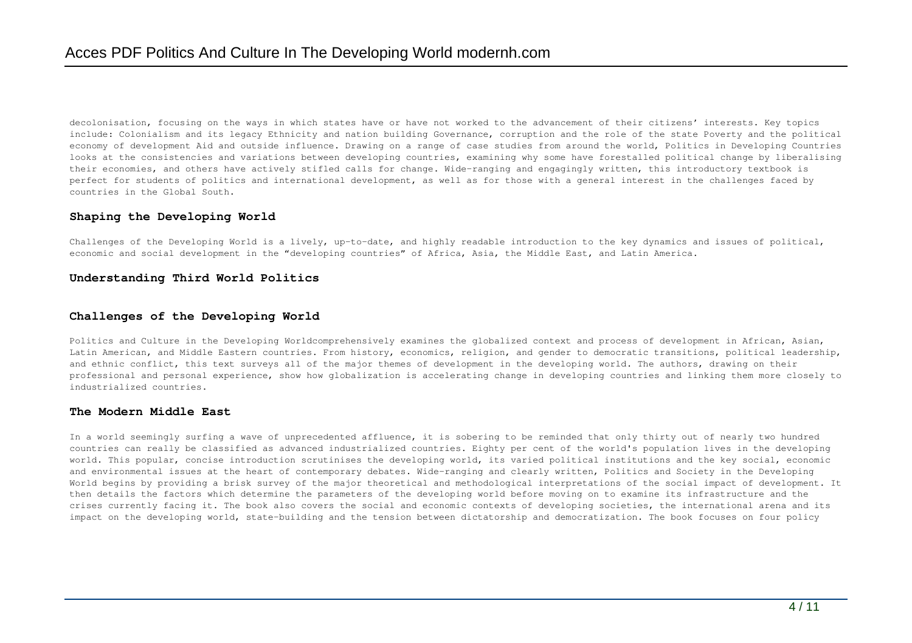decolonisation, focusing on the ways in which states have or have not worked to the advancement of their citizens' interests. Key topics include: Colonialism and its legacy Ethnicity and nation building Governance, corruption and the role of the state Poverty and the political economy of development Aid and outside influence. Drawing on a range of case studies from around the world, Politics in Developing Countries looks at the consistencies and variations between developing countries, examining why some have forestalled political change by liberalising their economies, and others have actively stifled calls for change. Wide-ranging and engagingly written, this introductory textbook is perfect for students of politics and international development, as well as for those with a general interest in the challenges faced by countries in the Global South.

## **Shaping the Developing World**

Challenges of the Developing World is a lively, up-to-date, and highly readable introduction to the key dynamics and issues of political, economic and social development in the "developing countries" of Africa, Asia, the Middle East, and Latin America.

# **Understanding Third World Politics**

## **Challenges of the Developing World**

Politics and Culture in the Developing Worldcomprehensively examines the globalized context and process of development in African, Asian, Latin American, and Middle Eastern countries. From history, economics, religion, and gender to democratic transitions, political leadership, and ethnic conflict, this text surveys all of the major themes of development in the developing world. The authors, drawing on their professional and personal experience, show how globalization is accelerating change in developing countries and linking them more closely to industrialized countries.

### **The Modern Middle East**

In a world seemingly surfing a wave of unprecedented affluence, it is sobering to be reminded that only thirty out of nearly two hundred countries can really be classified as advanced industrialized countries. Eighty per cent of the world's population lives in the developing world. This popular, concise introduction scrutinises the developing world, its varied political institutions and the key social, economic and environmental issues at the heart of contemporary debates. Wide-ranging and clearly written, Politics and Society in the Developing World begins by providing a brisk survey of the major theoretical and methodological interpretations of the social impact of development. It then details the factors which determine the parameters of the developing world before moving on to examine its infrastructure and the crises currently facing it. The book also covers the social and economic contexts of developing societies, the international arena and its impact on the developing world, state-building and the tension between dictatorship and democratization. The book focuses on four policy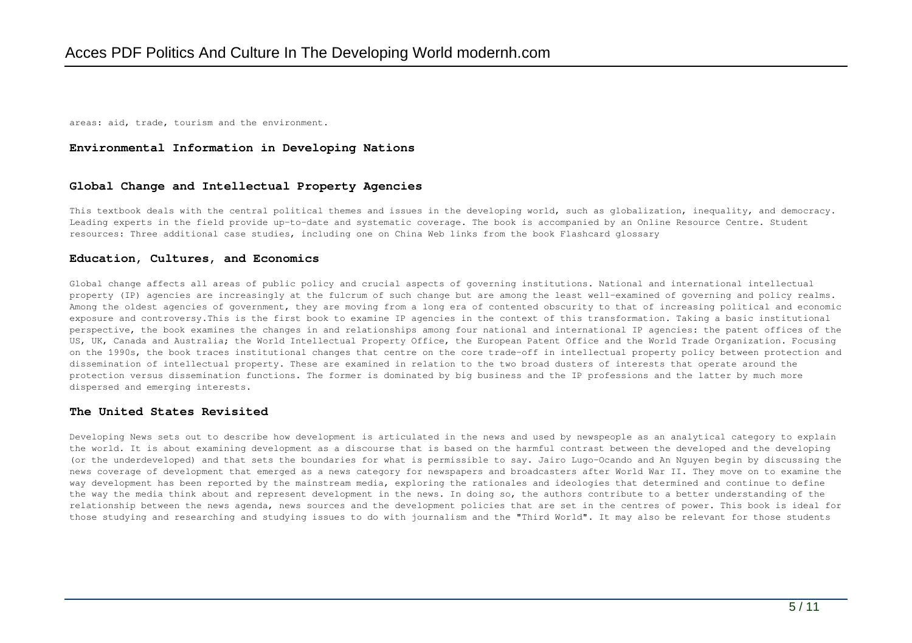areas: aid, trade, tourism and the environment.

## **Environmental Information in Developing Nations**

### **Global Change and Intellectual Property Agencies**

This textbook deals with the central political themes and issues in the developing world, such as globalization, inequality, and democracy. Leading experts in the field provide up-to-date and systematic coverage. The book is accompanied by an Online Resource Centre. Student resources: Three additional case studies, including one on China Web links from the book Flashcard glossary

#### **Education, Cultures, and Economics**

Global change affects all areas of public policy and crucial aspects of governing institutions. National and international intellectual property (IP) agencies are increasingly at the fulcrum of such change but are among the least well-examined of governing and policy realms. Among the oldest agencies of government, they are moving from a long era of contented obscurity to that of increasing political and economic exposure and controversy.This is the first book to examine IP agencies in the context of this transformation. Taking a basic institutional perspective, the book examines the changes in and relationships among four national and international IP agencies: the patent offices of the US, UK, Canada and Australia; the World Intellectual Property Office, the European Patent Office and the World Trade Organization. Focusing on the 1990s, the book traces institutional changes that centre on the core trade-off in intellectual property policy between protection and dissemination of intellectual property. These are examined in relation to the two broad dusters of interests that operate around the protection versus dissemination functions. The former is dominated by big business and the IP professions and the latter by much more dispersed and emerging interests.

#### **The United States Revisited**

Developing News sets out to describe how development is articulated in the news and used by newspeople as an analytical category to explain the world. It is about examining development as a discourse that is based on the harmful contrast between the developed and the developing (or the underdeveloped) and that sets the boundaries for what is permissible to say. Jairo Lugo-Ocando and An Nguyen begin by discussing the news coverage of development that emerged as a news category for newspapers and broadcasters after World War II. They move on to examine the way development has been reported by the mainstream media, exploring the rationales and ideologies that determined and continue to define the way the media think about and represent development in the news. In doing so, the authors contribute to a better understanding of the relationship between the news agenda, news sources and the development policies that are set in the centres of power. This book is ideal for those studying and researching and studying issues to do with journalism and the "Third World". It may also be relevant for those students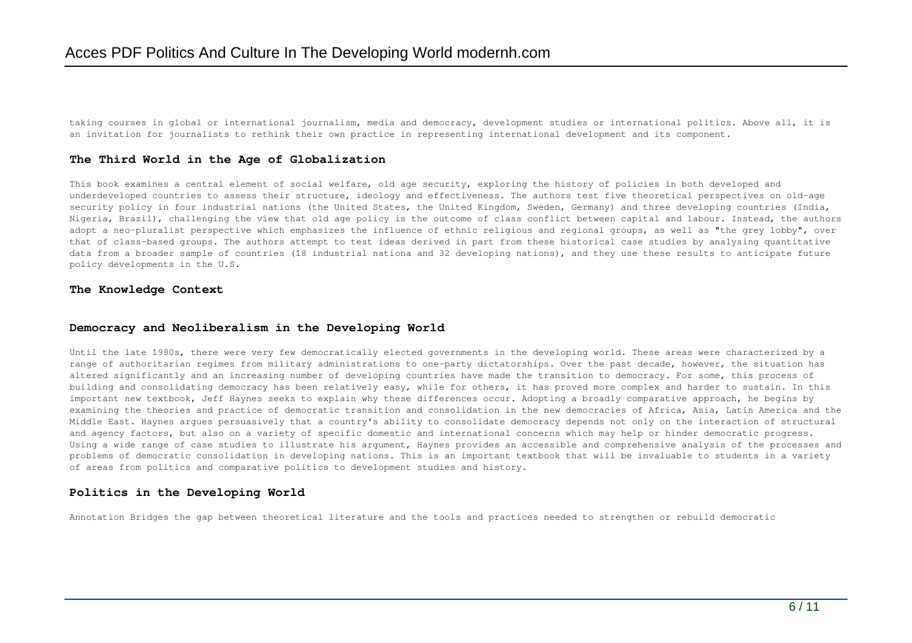taking courses in global or international journalism, media and democracy, development studies or international politics. Above all, it is an invitation for journalists to rethink their own practice in representing international development and its component.

## **The Third World in the Age of Globalization**

This book examines a central element of social welfare, old age security, exploring the history of policies in both developed and underdeveloped countries to assess their structure, ideology and effectiveness. The authors test five theoretical perspectives on old-age security policy in four industrial nations (the United States, the United Kingdom, Sweden, Germany) and three developing countries (India, Nigeria, Brazil), challenging the view that old age policy is the outcome of class conflict between capital and labour. Instead, the authors adopt a neo-pluralist perspective which emphasizes the influence of ethnic religious and regional groups, as well as "the grey lobby", over that of class-based groups. The authors attempt to test ideas derived in part from these historical case studies by analysing quantitative data from a broader sample of countries (18 industrial nationa and 32 developing nations), and they use these results to anticipate future policy developments in the U.S.

#### **The Knowledge Context**

### **Democracy and Neoliberalism in the Developing World**

Until the late 1980s, there were very few democratically elected governments in the developing world. These areas were characterized by a range of authoritarian regimes from military administrations to one-party dictatorships. Over the past decade, however, the situation has altered significantly and an increasing number of developing countries have made the transition to democracy. For some, this process of building and consolidating democracy has been relatively easy, while for others, it has proved more complex and harder to sustain. In this important new textbook, Jeff Haynes seeks to explain why these differences occur. Adopting a broadly comparative approach, he begins by examining the theories and practice of democratic transition and consolidation in the new democracies of Africa, Asia, Latin America and the Middle East. Haynes argues persuasively that a country's ability to consolidate democracy depends not only on the interaction of structural and agency factors, but also on a variety of specific domestic and international concerns which may help or hinder democratic progress. Using a wide range of case studies to illustrate his argument, Haynes provides an accessible and comprehensive analysis of the processes and problems of democratic consolidation in developing nations. This is an important textbook that will be invaluable to students in a variety of areas from politics and comparative politics to development studies and history.

# **Politics in the Developing World**

Annotation Bridges the gap between theoretical literature and the tools and practices needed to strengthen or rebuild democratic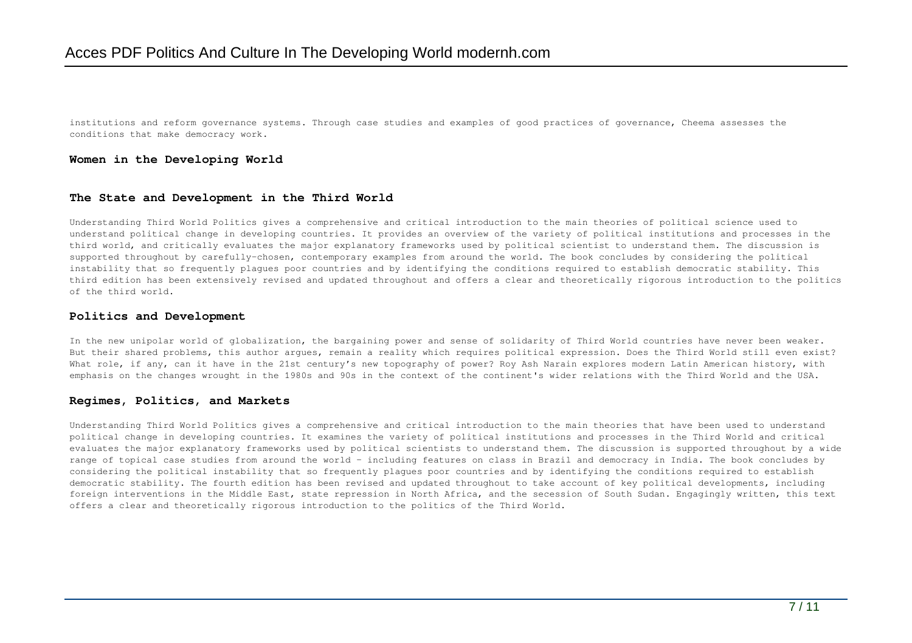institutions and reform governance systems. Through case studies and examples of good practices of governance, Cheema assesses the conditions that make democracy work.

### **Women in the Developing World**

## **The State and Development in the Third World**

Understanding Third World Politics gives a comprehensive and critical introduction to the main theories of political science used to understand political change in developing countries. It provides an overview of the variety of political institutions and processes in the third world, and critically evaluates the major explanatory frameworks used by political scientist to understand them. The discussion is supported throughout by carefully-chosen, contemporary examples from around the world. The book concludes by considering the political instability that so frequently plagues poor countries and by identifying the conditions required to establish democratic stability. This third edition has been extensively revised and updated throughout and offers a clear and theoretically rigorous introduction to the politics of the third world.

## **Politics and Development**

In the new unipolar world of globalization, the bargaining power and sense of solidarity of Third World countries have never been weaker. But their shared problems, this author argues, remain a reality which requires political expression. Does the Third World still even exist? What role, if any, can it have in the 21st century's new topography of power? Roy Ash Narain explores modern Latin American history, with emphasis on the changes wrought in the 1980s and 90s in the context of the continent's wider relations with the Third World and the USA.

#### **Regimes, Politics, and Markets**

Understanding Third World Politics gives a comprehensive and critical introduction to the main theories that have been used to understand political change in developing countries. It examines the variety of political institutions and processes in the Third World and critical evaluates the major explanatory frameworks used by political scientists to understand them. The discussion is supported throughout by a wide range of topical case studies from around the world – including features on class in Brazil and democracy in India. The book concludes by considering the political instability that so frequently plagues poor countries and by identifying the conditions required to establish democratic stability. The fourth edition has been revised and updated throughout to take account of key political developments, including foreign interventions in the Middle East, state repression in North Africa, and the secession of South Sudan. Engagingly written, this text offers a clear and theoretically rigorous introduction to the politics of the Third World.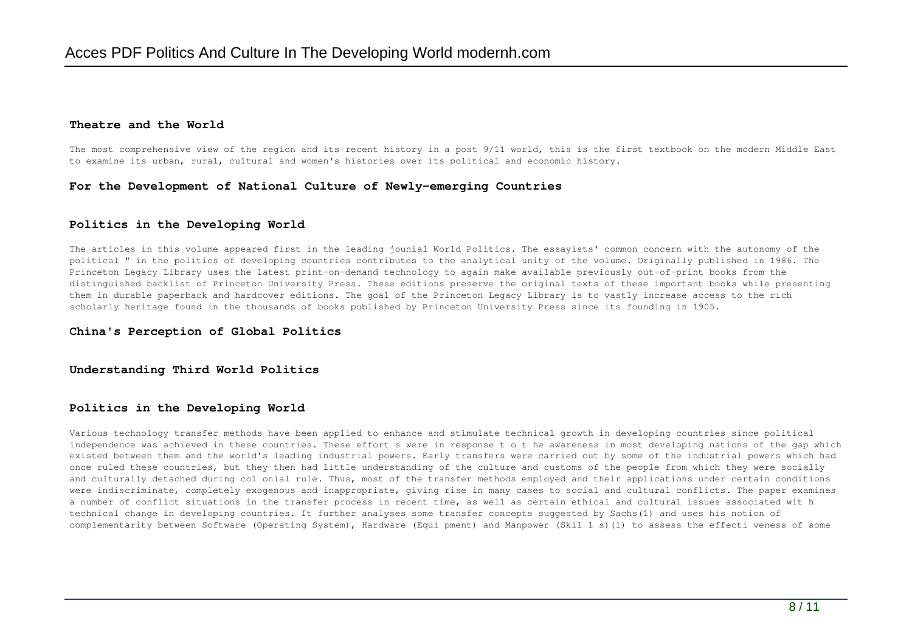### **Theatre and the World**

The most comprehensive view of the region and its recent history in a post 9/11 world, this is the first textbook on the modern Middle East to examine its urban, rural, cultural and women's histories over its political and economic history.

## **For the Development of National Culture of Newly-emerging Countries**

### **Politics in the Developing World**

The articles in this volume appeared first in the leading jounial World Politics. The essayists' common concern with the autonomy of the political " in the politics of developing countries contributes to the analytical unity of the volume. Originally published in 1986. The Princeton Legacy Library uses the latest print-on-demand technology to again make available previously out-of-print books from the distinguished backlist of Princeton University Press. These editions preserve the original texts of these important books while presenting them in durable paperback and hardcover editions. The goal of the Princeton Legacy Library is to vastly increase access to the rich scholarly heritage found in the thousands of books published by Princeton University Press since its founding in 1905.

### **China's Perception of Global Politics**

#### **Understanding Third World Politics**

### **Politics in the Developing World**

Various technology transfer methods have been applied to enhance and stimulate technical growth in developing countries since political independence was achieved in these countries. These effort s were in response t o t he awareness in most developing nations of the gap which existed between them and the world's leading industrial powers. Early transfers were carried out by some of the industrial powers which had once ruled these countries, but they then had little understanding of the culture and customs of the people from which they were socially and culturally detached during col onial rule. Thus, most of the transfer methods employed and their applications under certain conditions were indiscriminate, completely exogenous and inappropriate, giving rise in many cases to social and cultural conflicts. The paper examines a number of conflict situations in the transfer process in recent time, as well as certain ethical and cultural issues associated wit h technical change in developing countries. It further analyses some transfer concepts suggested by Sachs(1) and uses his notion of complementarity between Software (Operating System), Hardware (Equi pment) and Manpower (Skil l s)(1) to assess the effecti veness of some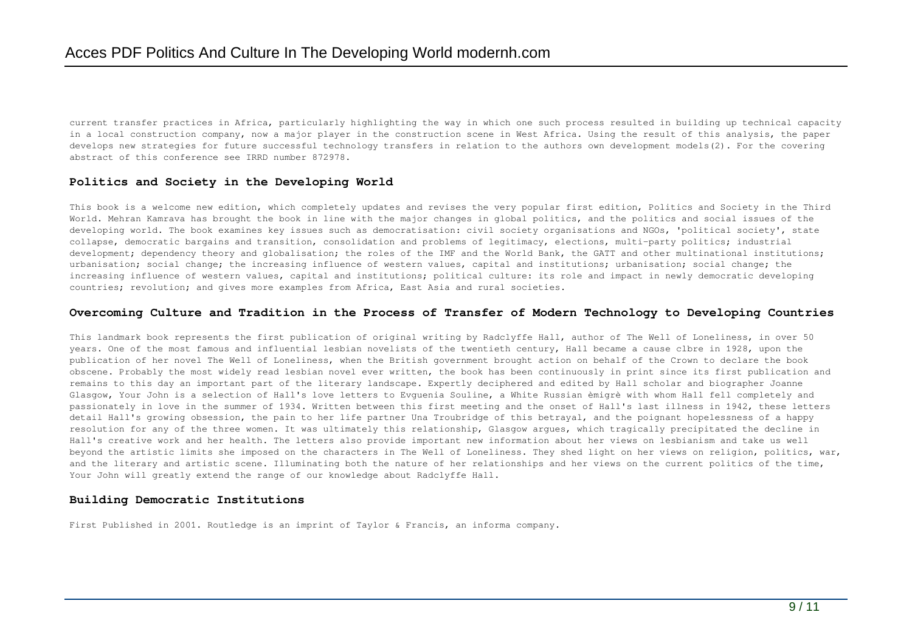current transfer practices in Africa, particularly highlighting the way in which one such process resulted in building up technical capacity in a local construction company, now a major player in the construction scene in West Africa. Using the result of this analysis, the paper develops new strategies for future successful technology transfers in relation to the authors own development models(2). For the covering abstract of this conference see IRRD number 872978.

## **Politics and Society in the Developing World**

This book is a welcome new edition, which completely updates and revises the very popular first edition, Politics and Society in the Third World. Mehran Kamrava has brought the book in line with the major changes in global politics, and the politics and social issues of the developing world. The book examines key issues such as democratisation: civil society organisations and NGOs, 'political society', state collapse, democratic bargains and transition, consolidation and problems of legitimacy, elections, multi-party politics; industrial development; dependency theory and globalisation; the roles of the IMF and the World Bank, the GATT and other multinational institutions; urbanisation; social change; the increasing influence of western values, capital and institutions; urbanisation; social change; the increasing influence of western values, capital and institutions; political culture: its role and impact in newly democratic developing countries; revolution; and gives more examples from Africa, East Asia and rural societies.

#### **Overcoming Culture and Tradition in the Process of Transfer of Modern Technology to Developing Countries**

This landmark book represents the first publication of original writing by Radclyffe Hall, author of The Well of Loneliness, in over 50 years. One of the most famous and influential lesbian novelists of the twentieth century, Hall became a cause clbre in 1928, upon the publication of her novel The Well of Loneliness, when the British government brought action on behalf of the Crown to declare the book obscene. Probably the most widely read lesbian novel ever written, the book has been continuously in print since its first publication and remains to this day an important part of the literary landscape. Expertly deciphered and edited by Hall scholar and biographer Joanne Glasgow, Your John is a selection of Hall's love letters to Evguenia Souline, a White Russian èmigrè with whom Hall fell completely and passionately in love in the summer of 1934. Written between this first meeting and the onset of Hall's last illness in 1942, these letters detail Hall's growing obsession, the pain to her life partner Una Troubridge of this betrayal, and the poignant hopelessness of a happy resolution for any of the three women. It was ultimately this relationship, Glasgow argues, which tragically precipitated the decline in Hall's creative work and her health. The letters also provide important new information about her views on lesbianism and take us well beyond the artistic limits she imposed on the characters in The Well of Loneliness. They shed light on her views on religion, politics, war, and the literary and artistic scene. Illuminating both the nature of her relationships and her views on the current politics of the time, Your John will greatly extend the range of our knowledge about Radclyffe Hall.

### **Building Democratic Institutions**

First Published in 2001. Routledge is an imprint of Taylor & Francis, an informa company.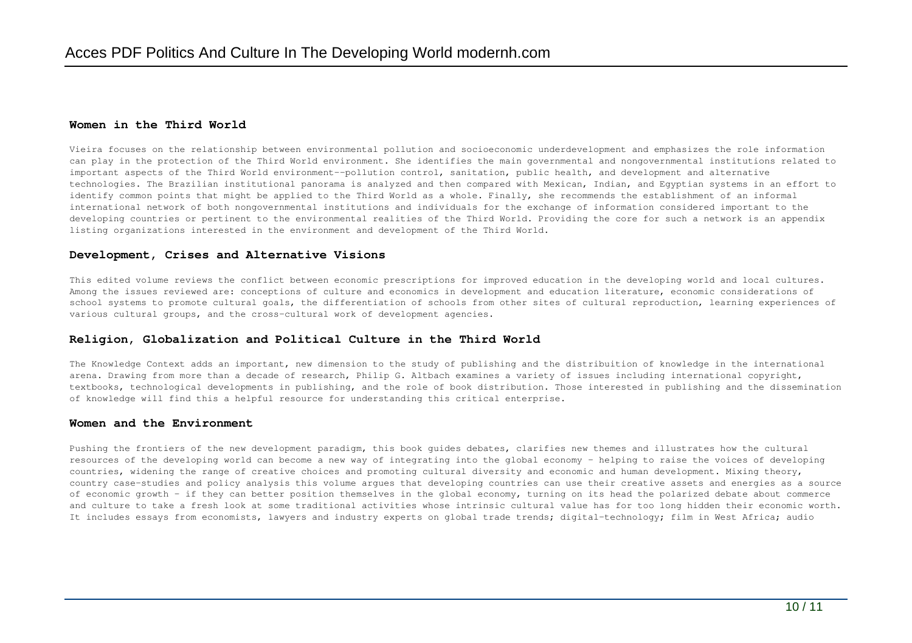## **Women in the Third World**

Vieira focuses on the relationship between environmental pollution and socioeconomic underdevelopment and emphasizes the role information can play in the protection of the Third World environment. She identifies the main governmental and nongovernmental institutions related to important aspects of the Third World environment--pollution control, sanitation, public health, and development and alternative technologies. The Brazilian institutional panorama is analyzed and then compared with Mexican, Indian, and Egyptian systems in an effort to identify common points that might be applied to the Third World as a whole. Finally, she recommends the establishment of an informal international network of both nongovernmental institutions and individuals for the exchange of information considered important to the developing countries or pertinent to the environmental realities of the Third World. Providing the core for such a network is an appendix listing organizations interested in the environment and development of the Third World.

### **Development, Crises and Alternative Visions**

This edited volume reviews the conflict between economic prescriptions for improved education in the developing world and local cultures. Among the issues reviewed are: conceptions of culture and economics in development and education literature, economic considerations of school systems to promote cultural goals, the differentiation of schools from other sites of cultural reproduction, learning experiences of various cultural groups, and the cross-cultural work of development agencies.

## **Religion, Globalization and Political Culture in the Third World**

The Knowledge Context adds an important, new dimension to the study of publishing and the distribuition of knowledge in the international arena. Drawing from more than a decade of research, Philip G. Altbach examines a variety of issues including international copyright, textbooks, technological developments in publishing, and the role of book distribution. Those interested in publishing and the dissemination of knowledge will find this a helpful resource for understanding this critical enterprise.

## **Women and the Environment**

Pushing the frontiers of the new development paradigm, this book guides debates, clarifies new themes and illustrates how the cultural resources of the developing world can become a new way of integrating into the global economy - helping to raise the voices of developing countries, widening the range of creative choices and promoting cultural diversity and economic and human development. Mixing theory, country case-studies and policy analysis this volume argues that developing countries can use their creative assets and energies as a source of economic growth - if they can better position themselves in the global economy, turning on its head the polarized debate about commerce and culture to take a fresh look at some traditional activities whose intrinsic cultural value has for too long hidden their economic worth. It includes essays from economists, lawyers and industry experts on global trade trends; digital-technology; film in West Africa; audio